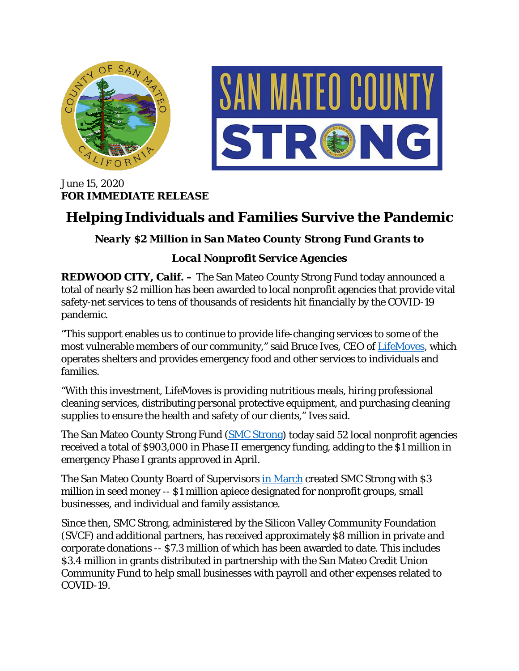



June 15, 2020 **FOR IMMEDIATE RELEASE**

## **Helping Individuals and Families Survive the Pandemic**

## *Nearly \$2 Million in San Mateo County Strong Fund Grants to*

## *Local Nonprofit Service Agencies*

**REDWOOD CITY, Calif.** – The San Mateo County Strong Fund today announced a total of nearly \$2 million has been awarded to local nonprofit agencies that provide vital safety-net services to tens of thousands of residents hit financially by the COVID-19 pandemic.

"This support enables us to continue to provide life-changing services to some of the most vulnerable members of our community," said Bruce Ives, CEO of [LifeMoves,](https://www.lifemoves.org/) which operates shelters and provides emergency food and other services to individuals and families.

"With this investment, LifeMoves is providing nutritious meals, hiring professional cleaning services, distributing personal protective equipment, and purchasing cleaning supplies to ensure the health and safety of our clients," Ives said.

The San Mateo County Strong Fund [\(SMC Strong\)](https://www.smcstrong.org/) today said 52 local nonprofit agencies received a total of \$903,000 in Phase II emergency funding, adding to the \$1 million in emergency Phase I grants approved in April.

The San Mateo County Board of Supervisors [in March](https://cmo.smcgov.org/press-release/march-24-2020-board-supervisors-launches-san-mateo-county-strong-fund-provide) created SMC Strong with \$3 million in seed money -- \$1 million apiece designated for nonprofit groups, small businesses, and individual and family assistance.

Since then, SMC Strong, administered by the Silicon Valley Community Foundation (SVCF) and additional partners, has received approximately \$8 million in private and corporate donations -- \$7.3 million of which has been awarded to date. This includes \$3.4 million in grants distributed in partnership with the San Mateo Credit Union Community Fund to help small businesses with payroll and other expenses related to COVID-19.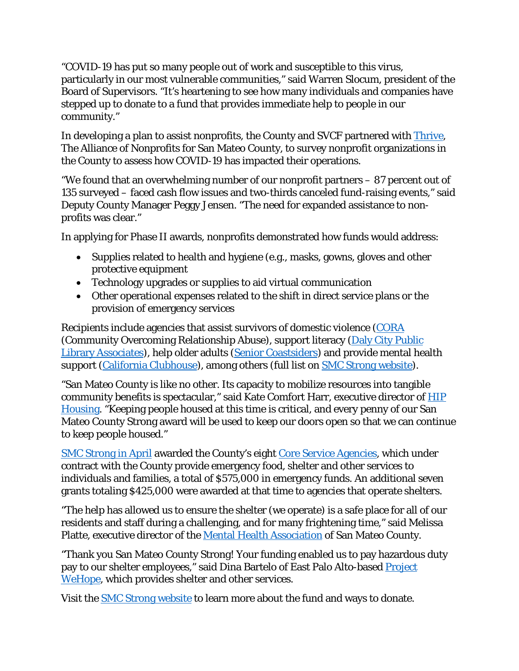"COVID-19 has put so many people out of work and susceptible to this virus, particularly in our most vulnerable communities," said Warren Slocum, president of the Board of Supervisors. "It's heartening to see how many individuals and companies have stepped up to donate to a fund that provides immediate help to people in our community."

In developing a plan to assist nonprofits, the County and SVCF partnered with [Thrive,](https://www.thrivealliance.org/) The Alliance of Nonprofits for San Mateo County, to survey nonprofit organizations in the County to assess how COVID-19 has impacted their operations.

"We found that an overwhelming number of our nonprofit partners – 87 percent out of 135 surveyed – faced cash flow issues and two-thirds canceled fund-raising events," said Deputy County Manager Peggy Jensen. "The need for expanded assistance to nonprofits was clear."

In applying for Phase II awards, nonprofits demonstrated how funds would address:

- Supplies related to health and hygiene (e.g., masks, gowns, gloves and other protective equipment
- Technology upgrades or supplies to aid virtual communication
- Other operational expenses related to the shift in direct service plans or the provision of emergency services

Recipients include agencies that assist survivors of domestic violence [\(CORA](https://www.corasupport.org/) (Community Overcoming Relationship Abuse), support literacy [\(Daly City Public](https://www.dcpla.org/)  [Library Associates\)](https://www.dcpla.org/), help older adults [\(Senior Coastsiders\)](https://www.seniorcoastsiders.org/) and provide mental health support [\(California Clubhouse\)](https://californiaclubhouse.org/), among others (full list on [SMC Strong website\)](https://www.smcstrong.org/nonprofit-grants).

"San Mateo County is like no other. Its capacity to mobilize resources into tangible community benefits is spectacular," said Kate Comfort Harr, executive director of [HIP](https://hiphousing.org/)  [Housing.](https://hiphousing.org/) "Keeping people housed at this time is critical, and every penny of our San Mateo County Strong award will be used to keep our doors open so that we can continue to keep people housed."

[SMC Strong in April](https://www.smcstrong.org/nonprofit-grants) awarded the County's eight [Core Service Agencies,](https://hsa.smcgov.org/core-service-agencies-emergency-safety-net-assistance) which under contract with the County provide emergency food, shelter and other services to individuals and families, a total of \$575,000 in emergency funds. An additional seven grants totaling \$425,000 were awarded at that time to agencies that operate shelters.

"The help has allowed us to ensure the shelter (we operate) is a safe place for all of our residents and staff during a challenging, and for many frightening time," said Melissa Platte, executive director of the [Mental Health Association](https://www.mhasmc.org/) of San Mateo County.

"Thank you San Mateo County Strong! Your funding enabled us to pay hazardous duty pay to our shelter employees," said Dina Bartelo of East Palo Alto-based Project [WeHope,](https://www.wehope.org/) which provides shelter and other services.

Visit the **SMC Strong website** to learn more about the fund and ways to donate.